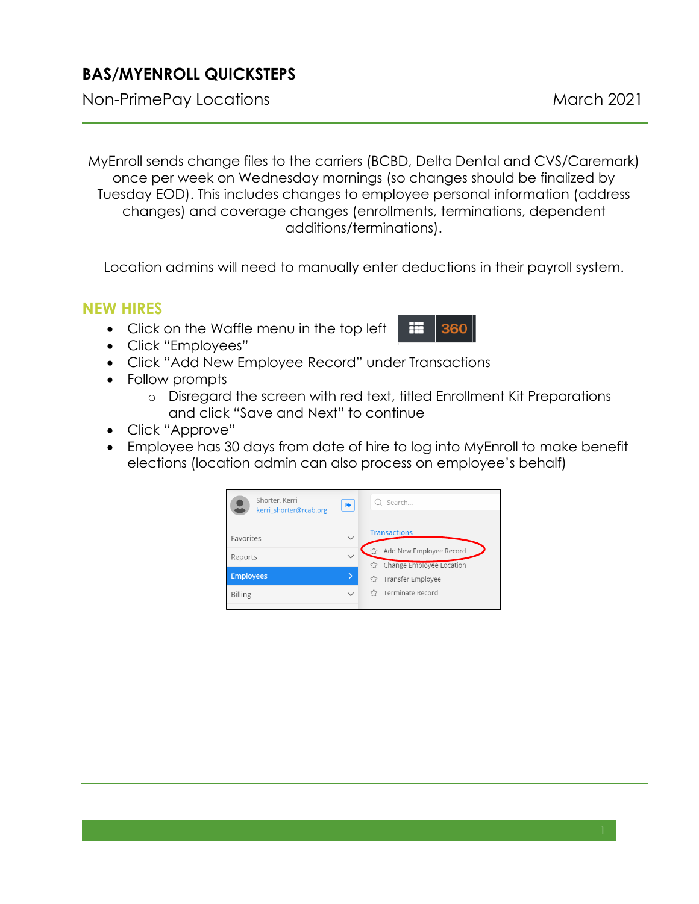## **BAS/MYENROLL QUICKSTEPS**

Non-PrimePay Locations March 2021

MyEnroll sends change files to the carriers (BCBD, Delta Dental and CVS/Caremark) once per week on Wednesday mornings (so changes should be finalized by Tuesday EOD). This includes changes to employee personal information (address changes) and coverage changes (enrollments, terminations, dependent additions/terminations).

Location admins will need to manually enter deductions in their payroll system.

## **NEW HIRES**

- Click on the Waffle menu in the top left
- Click "Employees"
- Click "Add New Employee Record" under Transactions
- Follow prompts
	- o Disregard the screen with red text, titled Enrollment Kit Preparations and click "Save and Next" to continue

罤

360

- Click "Approve"
- Employee has 30 days from date of hire to log into MyEnroll to make benefit elections (location admin can also process on employee's behalf)